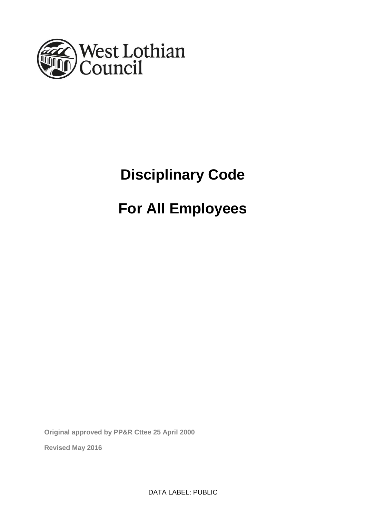

# **Disciplinary Code**

# **For All Employees**

**Original approved by PP&R Cttee 25 April 2000**

**Revised May 2016**

DATA LABEL: PUBLIC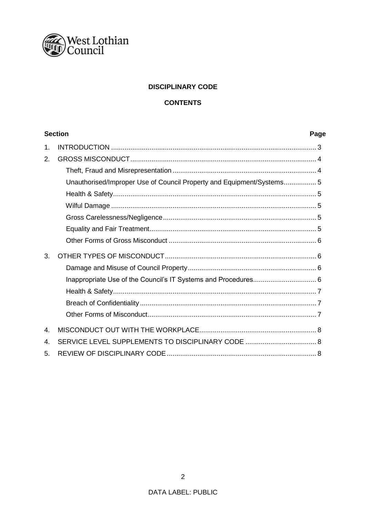

# **DISCIPLINARY CODE**

# **CONTENTS**

| <b>Section</b> |                                                                      | Page |
|----------------|----------------------------------------------------------------------|------|
| 1.             |                                                                      |      |
| 2.             |                                                                      |      |
|                |                                                                      |      |
|                | Unauthorised/Improper Use of Council Property and Equipment/Systems5 |      |
|                |                                                                      |      |
|                |                                                                      |      |
|                |                                                                      |      |
|                |                                                                      |      |
|                |                                                                      |      |
| 3.             |                                                                      |      |
|                |                                                                      |      |
|                |                                                                      |      |
|                |                                                                      |      |
|                |                                                                      |      |
|                |                                                                      |      |
| 4.             |                                                                      |      |
| 4.             | SERVICE LEVEL SUPPLEMENTS TO DISCIPLINARY CODE  8                    |      |
| 5.             |                                                                      |      |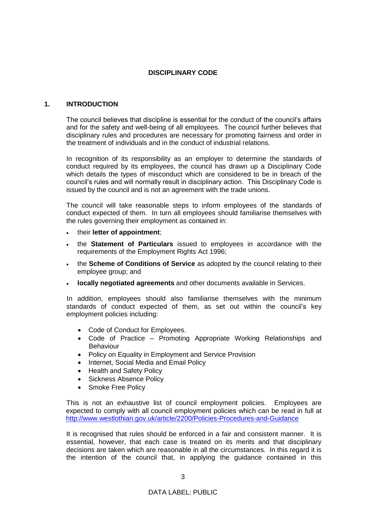# **DISCIPLINARY CODE**

#### **1. INTRODUCTION**

The council believes that discipline is essential for the conduct of the council's affairs and for the safety and well-being of all employees. The council further believes that disciplinary rules and procedures are necessary for promoting fairness and order in the treatment of individuals and in the conduct of industrial relations.

In recognition of its responsibility as an employer to determine the standards of conduct required by its employees, the council has drawn up a Disciplinary Code which details the types of misconduct which are considered to be in breach of the council's rules and will normally result in disciplinary action. This Disciplinary Code is issued by the council and is not an agreement with the trade unions.

The council will take reasonable steps to inform employees of the standards of conduct expected of them. In turn all employees should familiarise themselves with the rules governing their employment as contained in:

- their **letter of appointment**;
- the **Statement of Particulars** issued to employees in accordance with the requirements of the Employment Rights Act 1996;
- the **Scheme of Conditions of Service** as adopted by the council relating to their employee group; and
- **locally negotiated agreements** and other documents available in Services.

In addition, employees should also familiarise themselves with the minimum standards of conduct expected of them, as set out within the council's key employment policies including:

- Code of Conduct for Employees.
- Code of Practice Promoting Appropriate Working Relationships and Behaviour
- Policy on Equality in Employment and Service Provision
- Internet, Social Media and Email Policy
- Health and Safety Policy
- Sickness Absence Policy
- Smoke Free Policy

This is not an exhaustive list of council employment policies. Employees are expected to comply with all council employment policies which can be read in full at <http://www.westlothian.gov.uk/article/2200/Policies-Procedures-and-Guidance>

It is recognised that rules should be enforced in a fair and consistent manner. It is essential, however, that each case is treated on its merits and that disciplinary decisions are taken which are reasonable in all the circumstances. In this regard it is the intention of the council that, in applying the guidance contained in this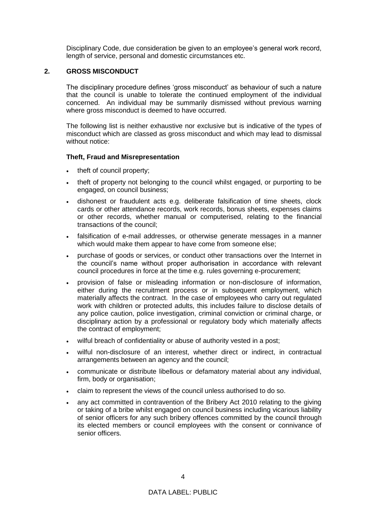Disciplinary Code, due consideration be given to an employee's general work record, length of service, personal and domestic circumstances etc.

# **2. GROSS MISCONDUCT**

The disciplinary procedure defines 'gross misconduct' as behaviour of such a nature that the council is unable to tolerate the continued employment of the individual concerned. An individual may be summarily dismissed without previous warning where gross misconduct is deemed to have occurred.

The following list is neither exhaustive nor exclusive but is indicative of the types of misconduct which are classed as gross misconduct and which may lead to dismissal without notice:

# **Theft, Fraud and Misrepresentation**

- theft of council property;
- theft of property not belonging to the council whilst engaged, or purporting to be engaged, on council business;
- dishonest or fraudulent acts e.g. deliberate falsification of time sheets, clock cards or other attendance records, work records, bonus sheets, expenses claims or other records, whether manual or computerised, relating to the financial transactions of the council;
- falsification of e-mail addresses, or otherwise generate messages in a manner which would make them appear to have come from someone else;
- purchase of goods or services, or conduct other transactions over the Internet in the council's name without proper authorisation in accordance with relevant council procedures in force at the time e.g. rules governing e-procurement;
- provision of false or misleading information or non-disclosure of information, either during the recruitment process or in subsequent employment, which materially affects the contract. In the case of employees who carry out regulated work with children or protected adults, this includes failure to disclose details of any police caution, police investigation, criminal conviction or criminal charge, or disciplinary action by a professional or regulatory body which materially affects the contract of employment;
- wilful breach of confidentiality or abuse of authority vested in a post;
- wilful non-disclosure of an interest, whether direct or indirect, in contractual arrangements between an agency and the council;
- communicate or distribute libellous or defamatory material about any individual, firm, body or organisation;
- claim to represent the views of the council unless authorised to do so.
- any act committed in contravention of the Bribery Act 2010 relating to the giving or taking of a bribe whilst engaged on council business including vicarious liability of senior officers for any such bribery offences committed by the council through its elected members or council employees with the consent or connivance of senior officers.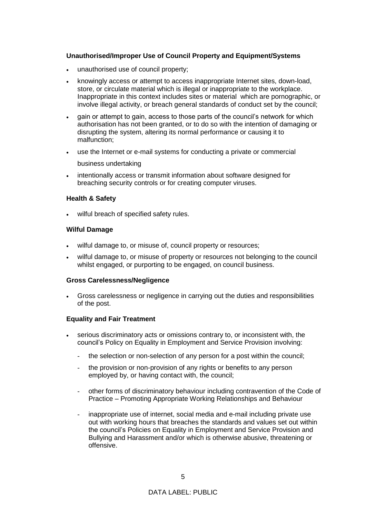# **Unauthorised/Improper Use of Council Property and Equipment/Systems**

- unauthorised use of council property;
- knowingly access or attempt to access inappropriate Internet sites, down-load, store, or circulate material which is illegal or inappropriate to the workplace. Inappropriate in this context includes sites or material which are pornographic, or involve illegal activity, or breach general standards of conduct set by the council;
- gain or attempt to gain, access to those parts of the council's network for which authorisation has not been granted, or to do so with the intention of damaging or disrupting the system, altering its normal performance or causing it to malfunction;
- use the Internet or e-mail systems for conducting a private or commercial

business undertaking

• intentionally access or transmit information about software designed for breaching security controls or for creating computer viruses.

# **Health & Safety**

wilful breach of specified safety rules.

# **Wilful Damage**

- wilful damage to, or misuse of, council property or resources;
- wilful damage to, or misuse of property or resources not belonging to the council whilst engaged, or purporting to be engaged, on council business.

#### **Gross Carelessness/Negligence**

 Gross carelessness or negligence in carrying out the duties and responsibilities of the post.

# **Equality and Fair Treatment**

- serious discriminatory acts or omissions contrary to, or inconsistent with, the council's Policy on Equality in Employment and Service Provision involving:
	- the selection or non-selection of any person for a post within the council;
	- the provision or non-provision of any rights or benefits to any person employed by, or having contact with, the council;
	- other forms of discriminatory behaviour including contravention of the Code of Practice – Promoting Appropriate Working Relationships and Behaviour
	- inappropriate use of internet, social media and e-mail including private use out with working hours that breaches the standards and values set out within the council's Policies on Equality in Employment and Service Provision and Bullying and Harassment and/or which is otherwise abusive, threatening or offensive.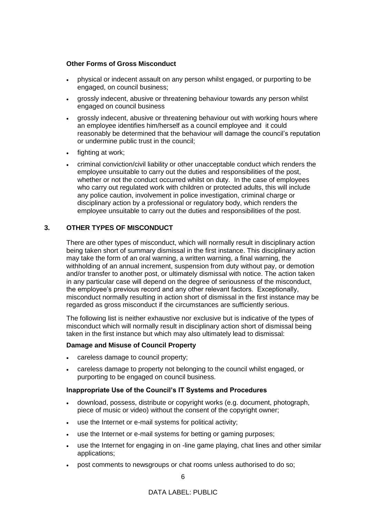# **Other Forms of Gross Misconduct**

- physical or indecent assault on any person whilst engaged, or purporting to be engaged, on council business;
- grossly indecent, abusive or threatening behaviour towards any person whilst engaged on council business
- grossly indecent, abusive or threatening behaviour out with working hours where an employee identifies him/herself as a council employee and it could reasonably be determined that the behaviour will damage the council's reputation or undermine public trust in the council;
- fighting at work;
- criminal conviction/civil liability or other unacceptable conduct which renders the employee unsuitable to carry out the duties and responsibilities of the post, whether or not the conduct occurred whilst on duty. In the case of employees who carry out regulated work with children or protected adults, this will include any police caution, involvement in police investigation, criminal charge or disciplinary action by a professional or regulatory body, which renders the employee unsuitable to carry out the duties and responsibilities of the post.

# **3. OTHER TYPES OF MISCONDUCT**

There are other types of misconduct, which will normally result in disciplinary action being taken short of summary dismissal in the first instance. This disciplinary action may take the form of an oral warning, a written warning, a final warning, the withholding of an annual increment, suspension from duty without pay, or demotion and/or transfer to another post, or ultimately dismissal with notice. The action taken in any particular case will depend on the degree of seriousness of the misconduct, the employee's previous record and any other relevant factors. Exceptionally, misconduct normally resulting in action short of dismissal in the first instance may be regarded as gross misconduct if the circumstances are sufficiently serious.

The following list is neither exhaustive nor exclusive but is indicative of the types of misconduct which will normally result in disciplinary action short of dismissal being taken in the first instance but which may also ultimately lead to dismissal:

#### **Damage and Misuse of Council Property**

- careless damage to council property;
- careless damage to property not belonging to the council whilst engaged, or purporting to be engaged on council business.

#### **Inappropriate Use of the Council's IT Systems and Procedures**

- download, possess, distribute or copyright works (e.g. document, photograph, piece of music or video) without the consent of the copyright owner;
- use the Internet or e-mail systems for political activity;
- use the Internet or e-mail systems for betting or gaming purposes;
- use the Internet for engaging in on -line game playing, chat lines and other similar applications;
- post comments to newsgroups or chat rooms unless authorised to do so;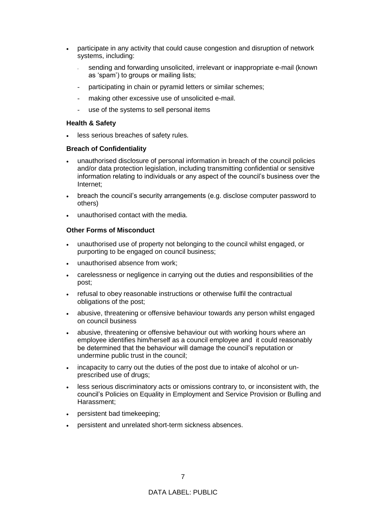- participate in any activity that could cause congestion and disruption of network systems, including:
	- sending and forwarding unsolicited, irrelevant or inappropriate e-mail (known as 'spam') to groups or mailing lists;
	- participating in chain or pyramid letters or similar schemes;
	- making other excessive use of unsolicited e-mail.
	- use of the systems to sell personal items

#### **Health & Safety**

less serious breaches of safety rules.

# **Breach of Confidentiality**

- unauthorised disclosure of personal information in breach of the council policies and/or data protection legislation, including transmitting confidential or sensitive information relating to individuals or any aspect of the council's business over the Internet;
- breach the council's security arrangements (e.g. disclose computer password to others)
- unauthorised contact with the media.

# **Other Forms of Misconduct**

- unauthorised use of property not belonging to the council whilst engaged, or purporting to be engaged on council business;
- unauthorised absence from work;
- carelessness or negligence in carrying out the duties and responsibilities of the post;
- refusal to obey reasonable instructions or otherwise fulfil the contractual obligations of the post;
- abusive, threatening or offensive behaviour towards any person whilst engaged on council business
- abusive, threatening or offensive behaviour out with working hours where an employee identifies him/herself as a council employee and it could reasonably be determined that the behaviour will damage the council's reputation or undermine public trust in the council;
- incapacity to carry out the duties of the post due to intake of alcohol or unprescribed use of drugs;
- less serious discriminatory acts or omissions contrary to, or inconsistent with, the council's Policies on Equality in Employment and Service Provision or Bulling and Harassment;
- persistent bad timekeeping;
- persistent and unrelated short-term sickness absences.